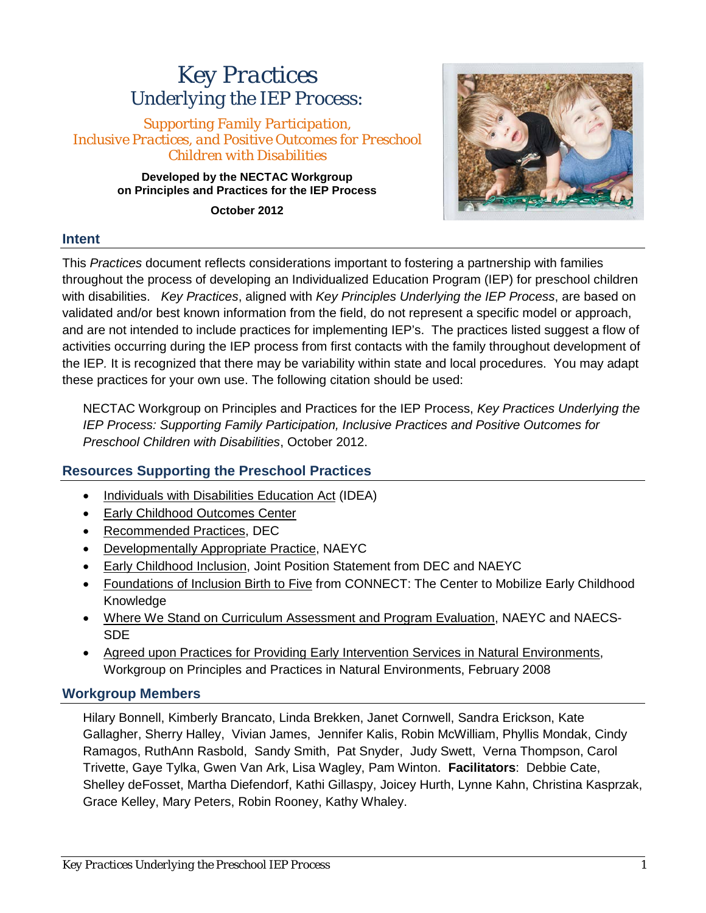# *Key Practices Underlying the IEP Process:*

*Supporting Family Participation, Inclusive Practices, and Positive Outcomes for Preschool Children with Disabilities*

> **Developed by the NECTAC Workgroup on Principles and Practices for the IEP Process**

> > **October 2012**



## **Intent**

This *Practices* document reflects considerations important to fostering a partnership with families throughout the process of developing an Individualized Education Program (IEP) for preschool children with disabilities. *Key Practices*, aligned with *Key Principles Underlying the IEP Process*, are based on validated and/or best known information from the field, do not represent a specific model or approach, and are not intended to include practices for implementing IEP's. The practices listed suggest a flow of activities occurring during the IEP process from first contacts with the family throughout development of the IEP*.* It is recognized that there may be variability within state and local procedures. You may adapt these practices for your own use. The following citation should be used:

NECTAC Workgroup on Principles and Practices for the IEP Process, *Key Practices Underlying the IEP Process: Supporting Family Participation, Inclusive Practices and Positive Outcomes for Preschool Children with Disabilities*, October 2012.

# **Resources Supporting the Preschool Practices**

- [Individuals with Disabilities Education Act](http://idea.ed.gov/explore/home) (IDEA)
- [Early Childhood Outcomes Center](http://projects.fpg.unc.edu/~eco/index.cfm)
- [Recommended Practices,](http://www.dec-sped.org/About_DEC/Recommended_Practices) DEC
- [Developmentally Appropriate Practice,](http://www.naeyc.org/DAP) NAEYC
- [Early Childhood Inclusion,](http://www.naeyc.org/files/naeyc/file/positions/DEC_NAEYC_EC_updatedKS.pdf) Joint Position Statement from DEC and NAEYC
- [Foundations of Inclusion Birth to Five](http://community.fpg.unc.edu/connect-modules/resources/videos/foundations-of-inclusion-birth-to-five) from CONNECT: The Center to Mobilize Early Childhood Knowledge
- [Where We Stand on Curriculum Assessment and Program Evaluation,](http://www.naeyc.org/files/naeyc/file/positions/StandCurrAss.pdfPreschool) NAEYC and NAECS-SDE
- [Agreed upon Practices for Providing Early Intervention Services in Natural Environments,](http://www.nectac.org/~pdfs/topics/families/AgreedUponPractices_FinalDraft2_01_08.pdf) Workgroup on Principles and Practices in Natural Environments, February 2008

## **Workgroup Members**

Hilary Bonnell, Kimberly Brancato, Linda Brekken, Janet Cornwell, Sandra Erickson, Kate Gallagher, Sherry Halley, Vivian James, Jennifer Kalis, Robin McWilliam, Phyllis Mondak, Cindy Ramagos, RuthAnn Rasbold, Sandy Smith, Pat Snyder, Judy Swett, Verna Thompson, Carol Trivette, Gaye Tylka, Gwen Van Ark, Lisa Wagley, Pam Winton. **Facilitators**: Debbie Cate, Shelley deFosset, Martha Diefendorf, Kathi Gillaspy, Joicey Hurth, Lynne Kahn, Christina Kasprzak, Grace Kelley, Mary Peters, Robin Rooney, Kathy Whaley.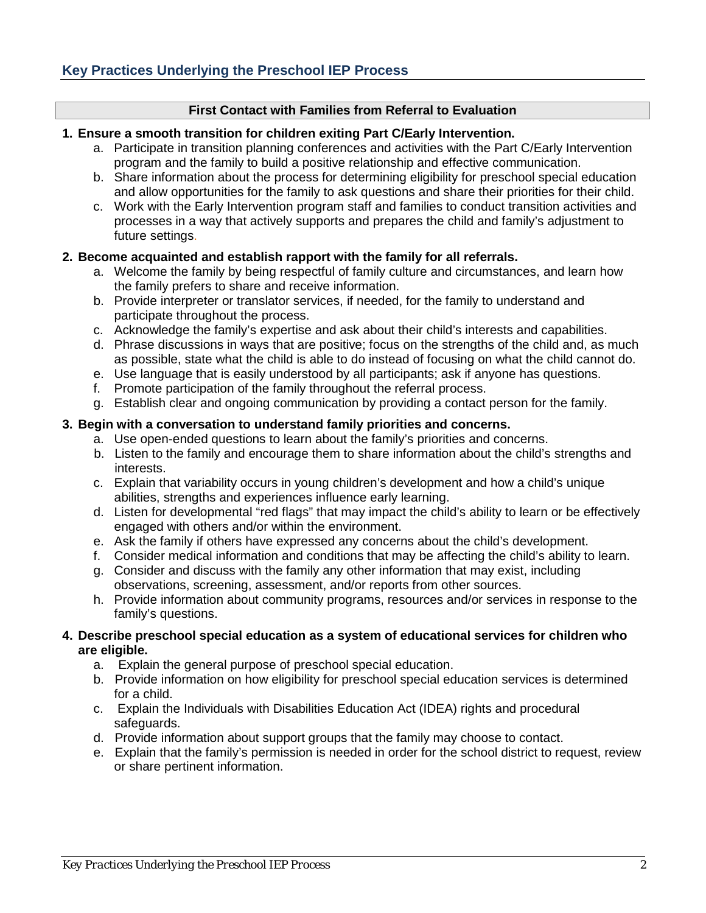#### **First Contact with Families from Referral to Evaluation**

#### **1. Ensure a smooth transition for children exiting Part C/Early Intervention.**

- a. Participate in transition planning conferences and activities with the Part C/Early Intervention program and the family to build a positive relationship and effective communication.
- b. Share information about the process for determining eligibility for preschool special education and allow opportunities for the family to ask questions and share their priorities for their child.
- c. Work with the Early Intervention program staff and families to conduct transition activities and processes in a way that actively supports and prepares the child and family's adjustment to future settings.

#### **2. Become acquainted and establish rapport with the family for all referrals.**

- a. Welcome the family by being respectful of family culture and circumstances, and learn how the family prefers to share and receive information.
- b. Provide interpreter or translator services, if needed, for the family to understand and participate throughout the process.
- c. Acknowledge the family's expertise and ask about their child's interests and capabilities.
- d. Phrase discussions in ways that are positive; focus on the strengths of the child and, as much as possible, state what the child is able to do instead of focusing on what the child cannot do.
- e. Use language that is easily understood by all participants; ask if anyone has questions.
- f. Promote participation of the family throughout the referral process.
- g. Establish clear and ongoing communication by providing a contact person for the family.

#### **3. Begin with a conversation to understand family priorities and concerns.**

- a. Use open-ended questions to learn about the family's priorities and concerns.
- b. Listen to the family and encourage them to share information about the child's strengths and interests.
- c. Explain that variability occurs in young children's development and how a child's unique abilities, strengths and experiences influence early learning.
- d. Listen for developmental "red flags" that may impact the child's ability to learn or be effectively engaged with others and/or within the environment.
- e. Ask the family if others have expressed any concerns about the child's development.
- f. Consider medical information and conditions that may be affecting the child's ability to learn.
- g. Consider and discuss with the family any other information that may exist, including observations, screening, assessment, and/or reports from other sources.
- h. Provide information about community programs, resources and/or services in response to the family's questions.

#### **4. Describe preschool special education as a system of educational services for children who are eligible.**

- a. Explain the general purpose of preschool special education.
- b. Provide information on how eligibility for preschool special education services is determined for a child.
- c. Explain the Individuals with Disabilities Education Act (IDEA) rights and procedural safeguards.
- d. Provide information about support groups that the family may choose to contact.
- e. Explain that the family's permission is needed in order for the school district to request, review or share pertinent information.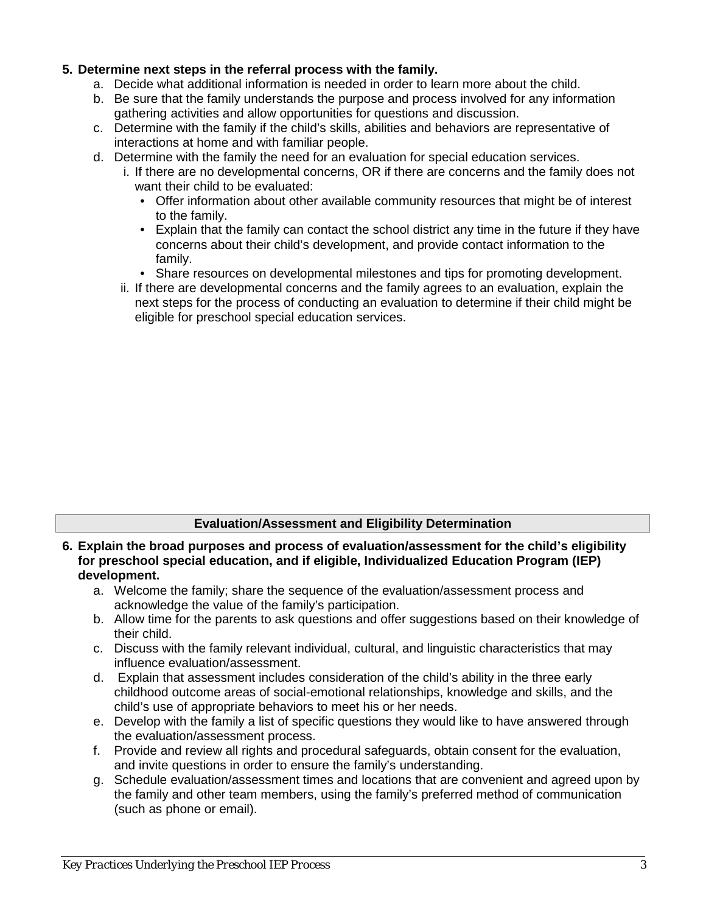## **5. Determine next steps in the referral process with the family.**

- a. Decide what additional information is needed in order to learn more about the child.
- b. Be sure that the family understands the purpose and process involved for any information gathering activities and allow opportunities for questions and discussion.
- c. Determine with the family if the child's skills, abilities and behaviors are representative of interactions at home and with familiar people.
- d. Determine with the family the need for an evaluation for special education services.
	- i. If there are no developmental concerns, OR if there are concerns and the family does not want their child to be evaluated:
		- Offer information about other available community resources that might be of interest to the family.
		- Explain that the family can contact the school district any time in the future if they have concerns about their child's development, and provide contact information to the family.
		- Share resources on developmental milestones and tips for promoting development.
	- ii. If there are developmental concerns and the family agrees to an evaluation, explain the next steps for the process of conducting an evaluation to determine if their child might be eligible for preschool special education services.

## **Evaluation/Assessment and Eligibility Determination**

- **6. Explain the broad purposes and process of evaluation/assessment for the child's eligibility for preschool special education, and if eligible, Individualized Education Program (IEP) development.** 
	- a. Welcome the family; share the sequence of the evaluation/assessment process and acknowledge the value of the family's participation.
	- b. Allow time for the parents to ask questions and offer suggestions based on their knowledge of their child.
	- c. Discuss with the family relevant individual, cultural, and linguistic characteristics that may influence evaluation/assessment.
	- d. Explain that assessment includes consideration of the child's ability in the three early childhood outcome areas of social-emotional relationships, knowledge and skills, and the child's use of appropriate behaviors to meet his or her needs.
	- e. Develop with the family a list of specific questions they would like to have answered through the evaluation/assessment process.
	- f. Provide and review all rights and procedural safeguards, obtain consent for the evaluation, and invite questions in order to ensure the family's understanding.
	- g. Schedule evaluation/assessment times and locations that are convenient and agreed upon by the family and other team members, using the family's preferred method of communication (such as phone or email).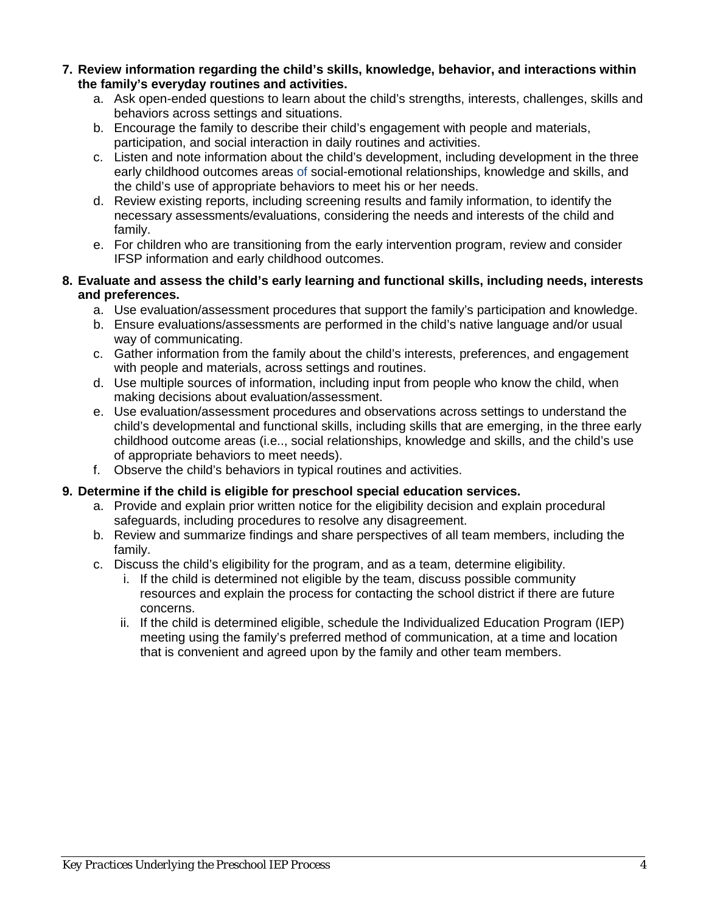- **7. Review information regarding the child's skills, knowledge, behavior, and interactions within the family's everyday routines and activities.**
	- a. Ask open-ended questions to learn about the child's strengths, interests, challenges, skills and behaviors across settings and situations.
	- b. Encourage the family to describe their child's engagement with people and materials, participation, and social interaction in daily routines and activities.
	- c. Listen and note information about the child's development, including development in the three early childhood outcomes areas of social-emotional relationships, knowledge and skills, and the child's use of appropriate behaviors to meet his or her needs.
	- d. Review existing reports, including screening results and family information, to identify the necessary assessments/evaluations, considering the needs and interests of the child and family.
	- e. For children who are transitioning from the early intervention program, review and consider IFSP information and early childhood outcomes.

### **8. Evaluate and assess the child's early learning and functional skills, including needs, interests and preferences.**

- a. Use evaluation/assessment procedures that support the family's participation and knowledge.
- b. Ensure evaluations/assessments are performed in the child's native language and/or usual way of communicating.
- c. Gather information from the family about the child's interests, preferences, and engagement with people and materials, across settings and routines.
- d. Use multiple sources of information, including input from people who know the child, when making decisions about evaluation/assessment.
- e. Use evaluation/assessment procedures and observations across settings to understand the child's developmental and functional skills, including skills that are emerging, in the three early childhood outcome areas (i.e.., social relationships, knowledge and skills, and the child's use of appropriate behaviors to meet needs).
- f. Observe the child's behaviors in typical routines and activities.

## **9. Determine if the child is eligible for preschool special education services.**

- a. Provide and explain prior written notice for the eligibility decision and explain procedural safeguards, including procedures to resolve any disagreement.
- b. Review and summarize findings and share perspectives of all team members, including the family.
- c. Discuss the child's eligibility for the program, and as a team, determine eligibility.
	- i. If the child is determined not eligible by the team, discuss possible community resources and explain the process for contacting the school district if there are future concerns.
	- ii. If the child is determined eligible, schedule the Individualized Education Program (IEP) meeting using the family's preferred method of communication, at a time and location that is convenient and agreed upon by the family and other team members.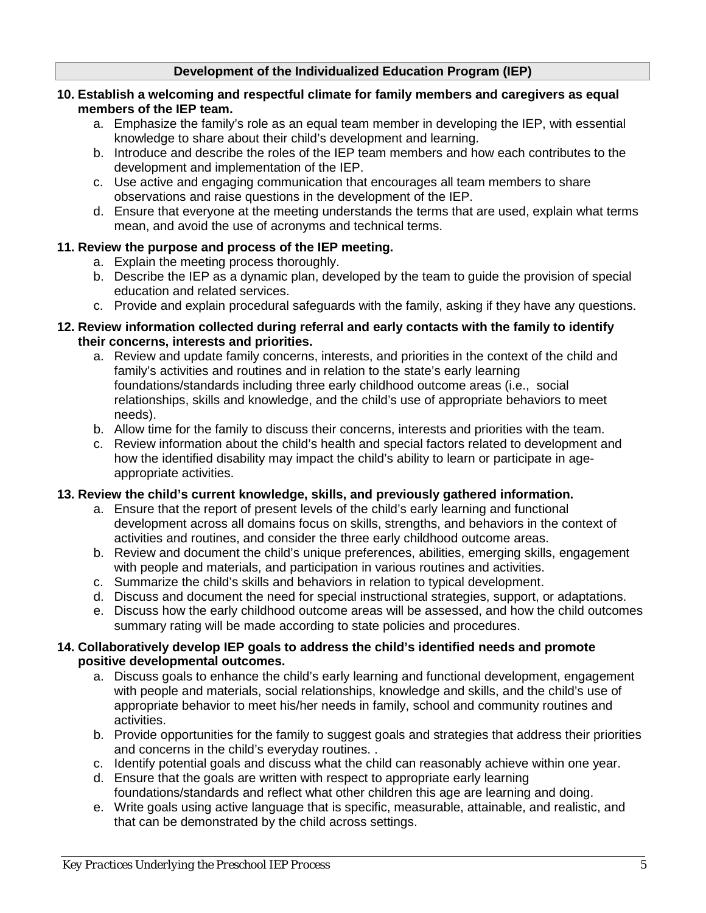## **Development of the Individualized Education Program (IEP)**

#### **10. Establish a welcoming and respectful climate for family members and caregivers as equal members of the IEP team.**

- a. Emphasize the family's role as an equal team member in developing the IEP, with essential knowledge to share about their child's development and learning.
- b. Introduce and describe the roles of the IEP team members and how each contributes to the development and implementation of the IEP.
- c. Use active and engaging communication that encourages all team members to share observations and raise questions in the development of the IEP.
- d. Ensure that everyone at the meeting understands the terms that are used, explain what terms mean, and avoid the use of acronyms and technical terms.

## **11. Review the purpose and process of the IEP meeting.**

- a. Explain the meeting process thoroughly.
- b. Describe the IEP as a dynamic plan, developed by the team to guide the provision of special education and related services.
- c. Provide and explain procedural safeguards with the family, asking if they have any questions.

#### **12. Review information collected during referral and early contacts with the family to identify their concerns, interests and priorities.**

- a. Review and update family concerns, interests, and priorities in the context of the child and family's activities and routines and in relation to the state's early learning foundations/standards including three early childhood outcome areas (i.e., social relationships, skills and knowledge, and the child's use of appropriate behaviors to meet needs).
- b. Allow time for the family to discuss their concerns, interests and priorities with the team.
- c. Review information about the child's health and special factors related to development and how the identified disability may impact the child's ability to learn or participate in ageappropriate activities.

## **13. Review the child's current knowledge, skills, and previously gathered information.**

- a. Ensure that the report of present levels of the child's early learning and functional development across all domains focus on skills, strengths, and behaviors in the context of activities and routines, and consider the three early childhood outcome areas.
- b. Review and document the child's unique preferences, abilities, emerging skills, engagement with people and materials, and participation in various routines and activities.
- c. Summarize the child's skills and behaviors in relation to typical development.
- d. Discuss and document the need for special instructional strategies, support, or adaptations.
- e. Discuss how the early childhood outcome areas will be assessed, and how the child outcomes summary rating will be made according to state policies and procedures.

#### **14. Collaboratively develop IEP goals to address the child's identified needs and promote positive developmental outcomes.**

- a. Discuss goals to enhance the child's early learning and functional development, engagement with people and materials, social relationships, knowledge and skills, and the child's use of appropriate behavior to meet his/her needs in family, school and community routines and activities.
- b. Provide opportunities for the family to suggest goals and strategies that address their priorities and concerns in the child's everyday routines. .
- c. Identify potential goals and discuss what the child can reasonably achieve within one year.
- d. Ensure that the goals are written with respect to appropriate early learning foundations/standards and reflect what other children this age are learning and doing.
- e. Write goals using active language that is specific, measurable, attainable, and realistic, and that can be demonstrated by the child across settings.